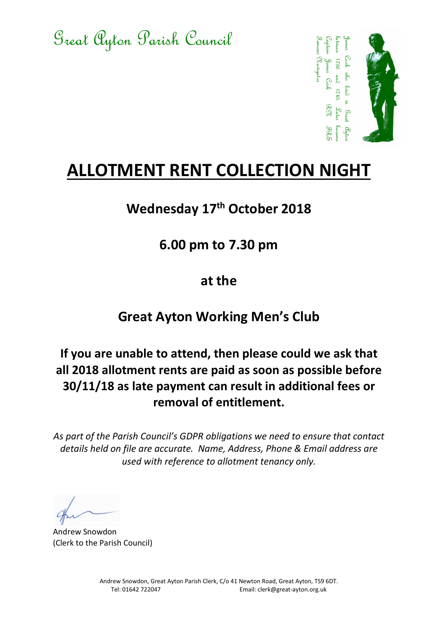Great Ayton Parish Council



# ALLOTMENT RENT COLLECTION NIGHT

## Wednesday 17<sup>th</sup> October 2018

#### 6.00 pm to 7.30 pm

#### at the

### Great Ayton Working Men's Club

# Tel: 01642 722042 722042 722042 722042 722042 722042 73642 722042 73642 73642 73642 73642 73642 73642 73642 73642 73642 73642 73642 73642 73642 73642 73642 73642 73642 73642 73642 73642 73642 73642 73642 73642 73642 73642 If you are unable to attend, then please could we ask that all 2018 allotment rents are paid as soon as possible before 30/11/18 as late payment can result in additional fees or removal of entitlement.

As part of the Parish Council's GDPR obligations we need to ensure that contact details held on file are accurate. Name, Address, Phone & Email address are used with reference to allotment tenancy only.

Andrew Snowdon (Clerk to the Parish Council)